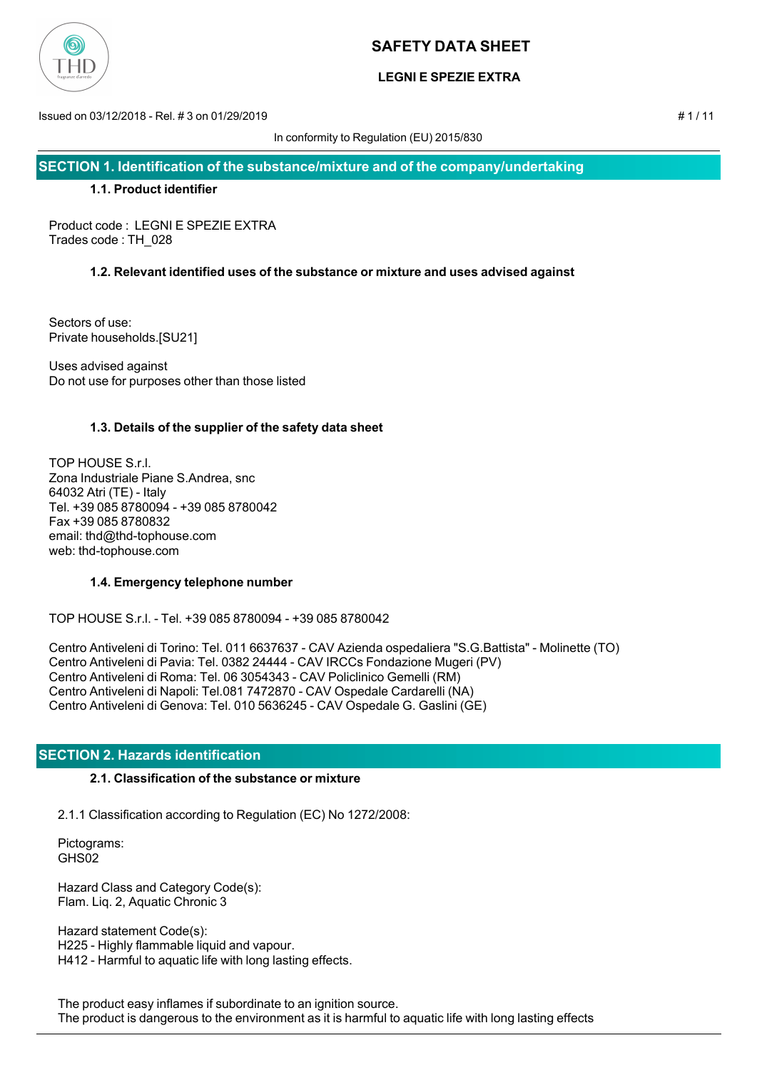

## **LEGNI E SPEZIE EXTRA**

Issued on 03/12/2018 - Rel. # 3 on 01/29/2019 # 1 / 11

In conformity to Regulation (EU) 2015/830

**SECTION 1. Identification of the substance/mixture and of the company/undertaking**

## **1.1. Product identifier**

Product code : LEGNI E SPEZIE EXTRA Trades code : TH\_028

## **1.2. Relevant identified uses of the substance or mixture and uses advised against**

Sectors of use: Private households.[SU21]

Uses advised against Do not use for purposes other than those listed

## **1.3. Details of the supplier of the safety data sheet**

TOP HOUSE S.r.l. Zona Industriale Piane S.Andrea, snc 64032 Atri (TE) - Italy Tel. +39 085 8780094 - +39 085 8780042 Fax +39 085 8780832 email: thd@thd-tophouse.com web: thd-tophouse.com

## **1.4. Emergency telephone number**

TOP HOUSE S.r.l. - Tel. +39 085 8780094 - +39 085 8780042

Centro Antiveleni di Torino: Tel. 011 6637637 - CAV Azienda ospedaliera "S.G.Battista" - Molinette (TO) Centro Antiveleni di Pavia: Tel. 0382 24444 - CAV IRCCs Fondazione Mugeri (PV) Centro Antiveleni di Roma: Tel. 06 3054343 - CAV Policlinico Gemelli (RM) Centro Antiveleni di Napoli: Tel.081 7472870 - CAV Ospedale Cardarelli (NA) Centro Antiveleni di Genova: Tel. 010 5636245 - CAV Ospedale G. Gaslini (GE)

## **SECTION 2. Hazards identification**

## **2.1. Classification of the substance or mixture**

2.1.1 Classification according to Regulation (EC) No 1272/2008:

 Pictograms: GHS02

 Hazard Class and Category Code(s): Flam. Liq. 2, Aquatic Chronic 3

 Hazard statement Code(s): H225 - Highly flammable liquid and vapour. H412 - Harmful to aquatic life with long lasting effects.

 The product easy inflames if subordinate to an ignition source. The product is dangerous to the environment as it is harmful to aquatic life with long lasting effects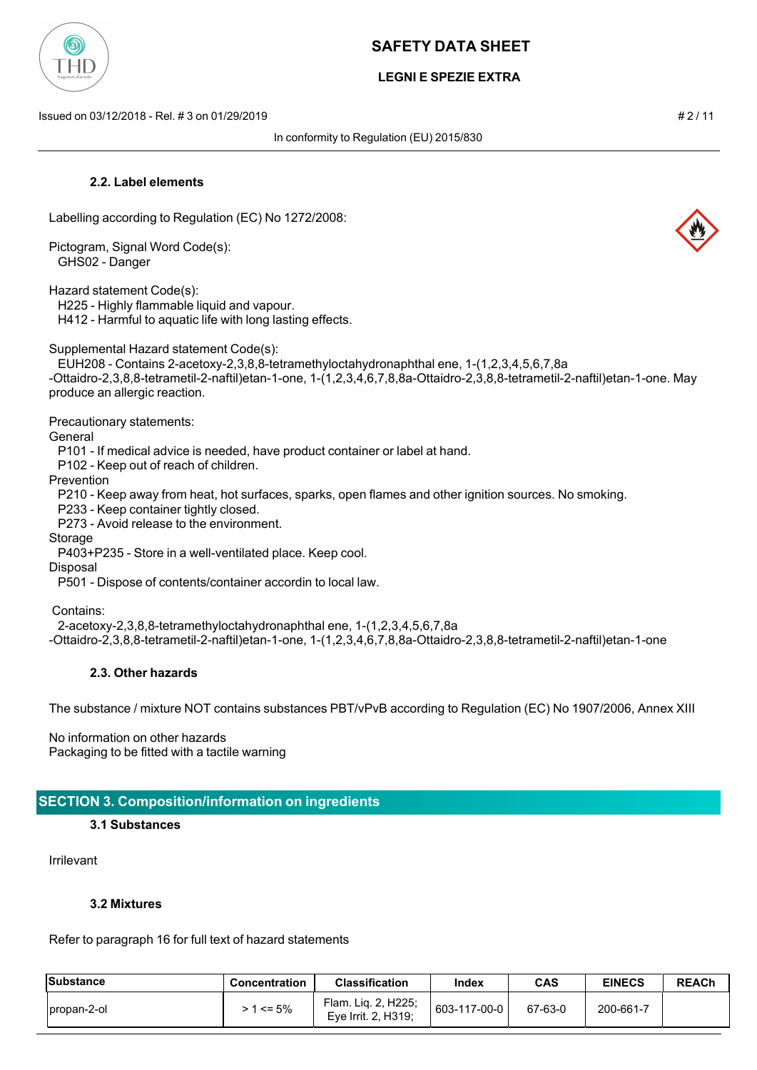

## **LEGNI E SPEZIE EXTRA**

Issued on 03/12/2018 - Rel. # 3 on 01/29/2019 # 2 / 11

In conformity to Regulation (EU) 2015/830

## **2.2. Label elements**

Labelling according to Regulation (EC) No 1272/2008:

Pictogram, Signal Word Code(s): GHS02 - Danger

Hazard statement Code(s):

H225 - Highly flammable liquid and vapour.

H412 - Harmful to aquatic life with long lasting effects.

Supplemental Hazard statement Code(s):

 EUH208 - Contains 2-acetoxy-2,3,8,8-tetramethyloctahydronaphthal ene, 1-(1,2,3,4,5,6,7,8a -Ottaidro-2,3,8,8-tetrametil-2-naftil)etan-1-one, 1-(1,2,3,4,6,7,8,8a-Ottaidro-2,3,8,8-tetrametil-2-naftil)etan-1-one. May produce an allergic reaction.

Precautionary statements:

**General** 

P101 - If medical advice is needed, have product container or label at hand.

P102 - Keep out of reach of children.

Prevention

P210 - Keep away from heat, hot surfaces, sparks, open flames and other ignition sources. No smoking.

P233 - Keep container tightly closed.

P273 - Avoid release to the environment.

Storage

P403+P235 - Store in a well-ventilated place. Keep cool.

Disposal

P501 - Dispose of contents/container accordin to local law.

Contains:

2-acetoxy-2,3,8,8-tetramethyloctahydronaphthal ene, 1-(1,2,3,4,5,6,7,8a

-Ottaidro-2,3,8,8-tetrametil-2-naftil)etan-1-one, 1-(1,2,3,4,6,7,8,8a-Ottaidro-2,3,8,8-tetrametil-2-naftil)etan-1-one

## **2.3. Other hazards**

The substance / mixture NOT contains substances PBT/vPvB according to Regulation (EC) No 1907/2006, Annex XIII

No information on other hazards Packaging to be fitted with a tactile warning

## **SECTION 3. Composition/information on ingredients**

#### **3.1 Substances**

Irrilevant

## **3.2 Mixtures**

Refer to paragraph 16 for full text of hazard statements

| Substance    | Concentration | <b>Classification</b>                      | Index        | <b>CAS</b> | <b>EINECS</b> | <b>REACh</b> |
|--------------|---------------|--------------------------------------------|--------------|------------|---------------|--------------|
| Ipropan-2-ol | > 1 <= 5%     | Flam. Lig. 2, H225;<br>Eye Irrit. 2, H319; | 603-117-00-0 | 67-63-0    | 200-661-7     |              |



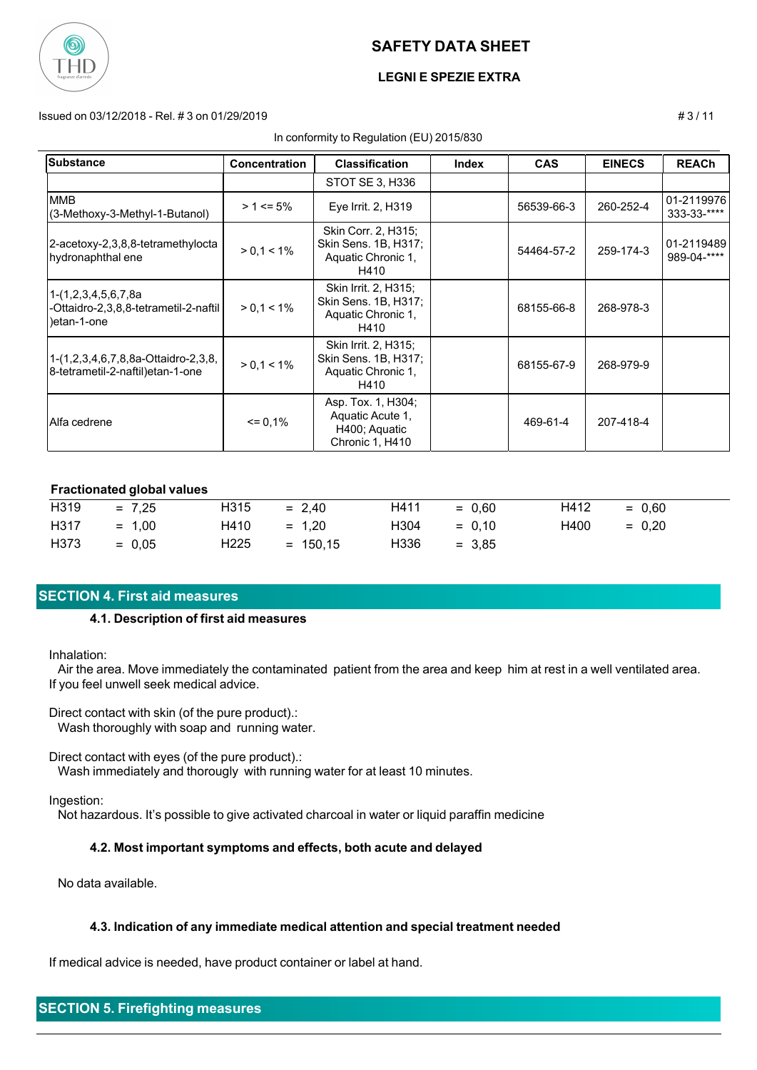

## **LEGNI E SPEZIE EXTRA**

#### Issued on 03/12/2018 - Rel. # 3 on 01/29/2019 # 3 / 11

#### In conformity to Regulation (EU) 2015/830

| <b>Substance</b>                                                             | <b>Concentration</b> | <b>Classification</b>                                                      | <b>Index</b> | <b>CAS</b> | <b>EINECS</b> | <b>REACh</b>              |
|------------------------------------------------------------------------------|----------------------|----------------------------------------------------------------------------|--------------|------------|---------------|---------------------------|
|                                                                              |                      | STOT SE 3, H336                                                            |              |            |               |                           |
| <b>MMB</b><br>(3-Methoxy-3-Methyl-1-Butanol)                                 | $> 1 \le 5\%$        | Eye Irrit. 2, H319                                                         |              | 56539-66-3 | 260-252-4     | 01-2119976<br>333-33-**** |
| 2-acetoxy-2,3,8,8-tetramethylocta<br>hydronaphthal ene                       | $> 0, 1 < 1\%$       | Skin Corr. 2, H315;<br>Skin Sens. 1B, H317;<br>Aquatic Chronic 1,<br>H410  |              | 54464-57-2 | 259-174-3     | 01-2119489<br>989-04-**** |
| 1-(1,2,3,4,5,6,7,8a<br>-Ottaidro-2,3,8,8-tetrametil-2-naftil  <br>etan-1-one | $> 0, 1 < 1\%$       | Skin Irrit. 2, H315;<br>Skin Sens. 1B, H317;<br>Aquatic Chronic 1,<br>H410 |              | 68155-66-8 | 268-978-3     |                           |
| 1-(1,2,3,4,6,7,8,8a-Ottaidro-2,3,8,<br>8-tetrametil-2-naftil)etan-1-one      | $> 0, 1 < 1\%$       | Skin Irrit. 2, H315;<br>Skin Sens. 1B, H317;<br>Aquatic Chronic 1,<br>H410 |              | 68155-67-9 | 268-979-9     |                           |
| IAlfa cedrene                                                                | $= 0.1%$             | Asp. Tox. 1, H304;<br>Aquatic Acute 1,<br>H400; Aquatic<br>Chronic 1, H410 |              | 469-61-4   | 207-418-4     |                           |

#### **Fractionated global values**

| H319 | $= 7,25$ | H315             | $= 2.40$   | H411 | $= 0.60$ | H412 | $= 0.60$ |
|------|----------|------------------|------------|------|----------|------|----------|
| H317 | $= 1.00$ | H410             | $= 1.20$   | H304 | $= 0.10$ | H400 | $= 0.20$ |
| H373 | $= 0.05$ | H <sub>225</sub> | $= 150.15$ | H336 | $= 3.85$ |      |          |

## **SECTION 4. First aid measures**

#### **4.1. Description of first aid measures**

Inhalation:

 Air the area. Move immediately the contaminated patient from the area and keep him at rest in a well ventilated area. If you feel unwell seek medical advice.

Direct contact with skin (of the pure product).:

Wash thoroughly with soap and running water.

Direct contact with eyes (of the pure product).:

Wash immediately and thorougly with running water for at least 10 minutes.

Ingestion:

Not hazardous. It's possible to give activated charcoal in water or liquid paraffin medicine

## **4.2. Most important symptoms and effects, both acute and delayed**

No data available.

#### **4.3. Indication of any immediate medical attention and special treatment needed**

If medical advice is needed, have product container or label at hand.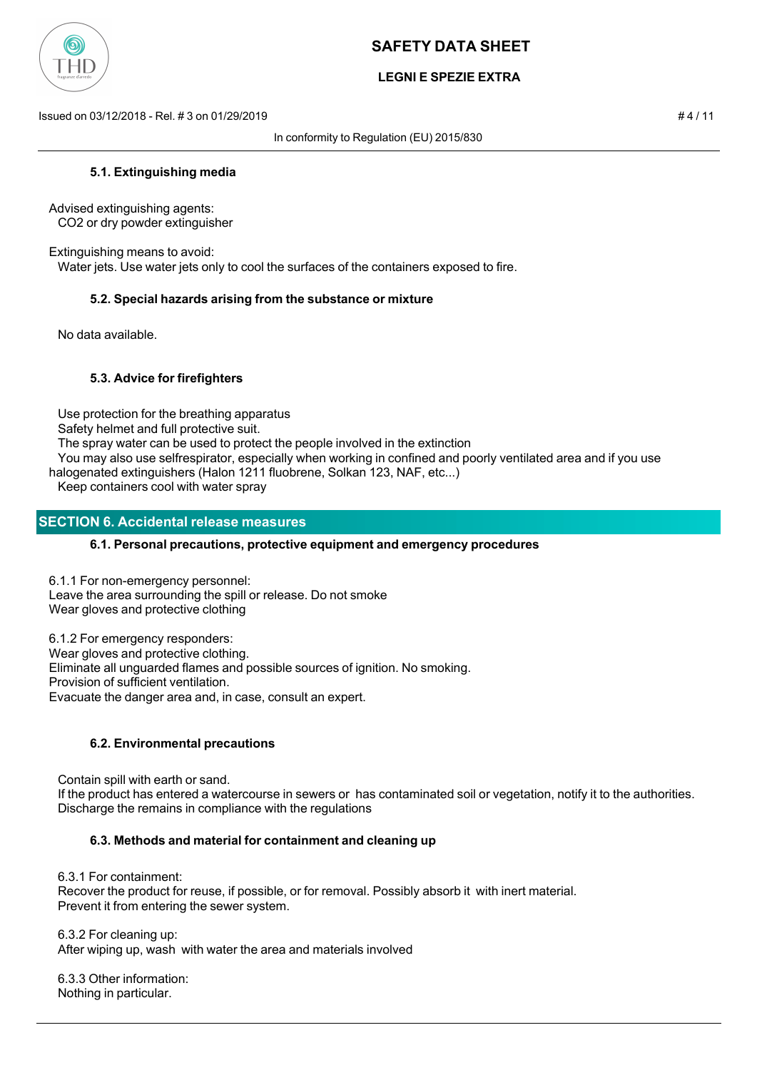

## **LEGNI E SPEZIE EXTRA**

Issued on 03/12/2018 - Rel. # 3 on 01/29/2019 # 4 / 11

In conformity to Regulation (EU) 2015/830

#### **5.1. Extinguishing media**

Advised extinguishing agents: CO2 or dry powder extinguisher

Extinguishing means to avoid: Water jets. Use water jets only to cool the surfaces of the containers exposed to fire.

#### **5.2. Special hazards arising from the substance or mixture**

No data available.

#### **5.3. Advice for firefighters**

Use protection for the breathing apparatus

Safety helmet and full protective suit.

The spray water can be used to protect the people involved in the extinction

 You may also use selfrespirator, especially when working in confined and poorly ventilated area and if you use halogenated extinguishers (Halon 1211 fluobrene, Solkan 123, NAF, etc...)

Keep containers cool with water spray

#### **SECTION 6. Accidental release measures**

#### **6.1. Personal precautions, protective equipment and emergency procedures**

6.1.1 For non-emergency personnel: Leave the area surrounding the spill or release. Do not smoke Wear gloves and protective clothing

6.1.2 For emergency responders: Wear gloves and protective clothing. Eliminate all unguarded flames and possible sources of ignition. No smoking. Provision of sufficient ventilation. Evacuate the danger area and, in case, consult an expert.

## **6.2. Environmental precautions**

 Contain spill with earth or sand. If the product has entered a watercourse in sewers or has contaminated soil or vegetation, notify it to the authorities. Discharge the remains in compliance with the regulations

## **6.3. Methods and material for containment and cleaning up**

 6.3.1 For containment: Recover the product for reuse, if possible, or for removal. Possibly absorb it with inert material. Prevent it from entering the sewer system.

 6.3.2 For cleaning up: After wiping up, wash with water the area and materials involved

 6.3.3 Other information: Nothing in particular.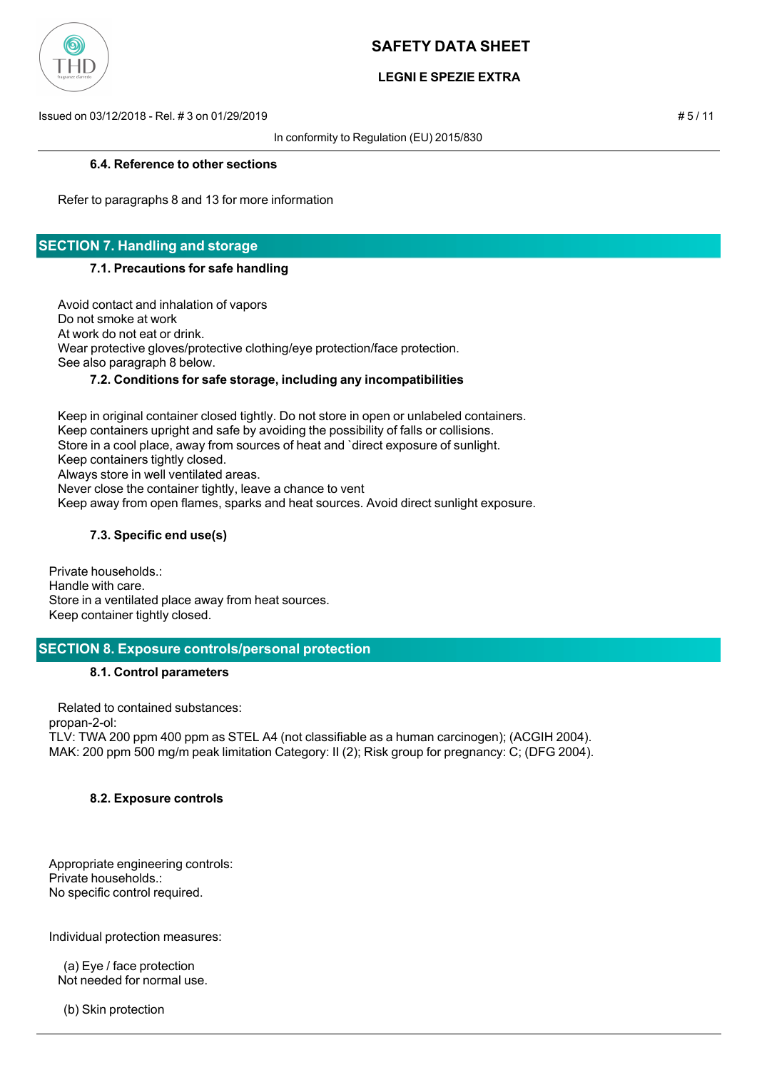

## **LEGNI E SPEZIE EXTRA**

Issued on 03/12/2018 - Rel. # 3 on 01/29/2019 # 5 / 11

In conformity to Regulation (EU) 2015/830

#### **6.4. Reference to other sections**

Refer to paragraphs 8 and 13 for more information

## **SECTION 7. Handling and storage**

#### **7.1. Precautions for safe handling**

 Avoid contact and inhalation of vapors Do not smoke at work At work do not eat or drink. Wear protective gloves/protective clothing/eye protection/face protection. See also paragraph 8 below.

## **7.2. Conditions for safe storage, including any incompatibilities**

 Keep in original container closed tightly. Do not store in open or unlabeled containers. Keep containers upright and safe by avoiding the possibility of falls or collisions. Store in a cool place, away from sources of heat and `direct exposure of sunlight. Keep containers tightly closed. Always store in well ventilated areas. Never close the container tightly, leave a chance to vent Keep away from open flames, sparks and heat sources. Avoid direct sunlight exposure.

## **7.3. Specific end use(s)**

Private households.: Handle with care. Store in a ventilated place away from heat sources. Keep container tightly closed.

## **SECTION 8. Exposure controls/personal protection**

## **8.1. Control parameters**

 Related to contained substances: propan-2-ol: TLV: TWA 200 ppm 400 ppm as STEL A4 (not classifiable as a human carcinogen); (ACGIH 2004). MAK: 200 ppm 500 mg/m peak limitation Category: II (2); Risk group for pregnancy: C; (DFG 2004).

## **8.2. Exposure controls**

Appropriate engineering controls: Private households.: No specific control required.

Individual protection measures:

 (a) Eye / face protection Not needed for normal use.

(b) Skin protection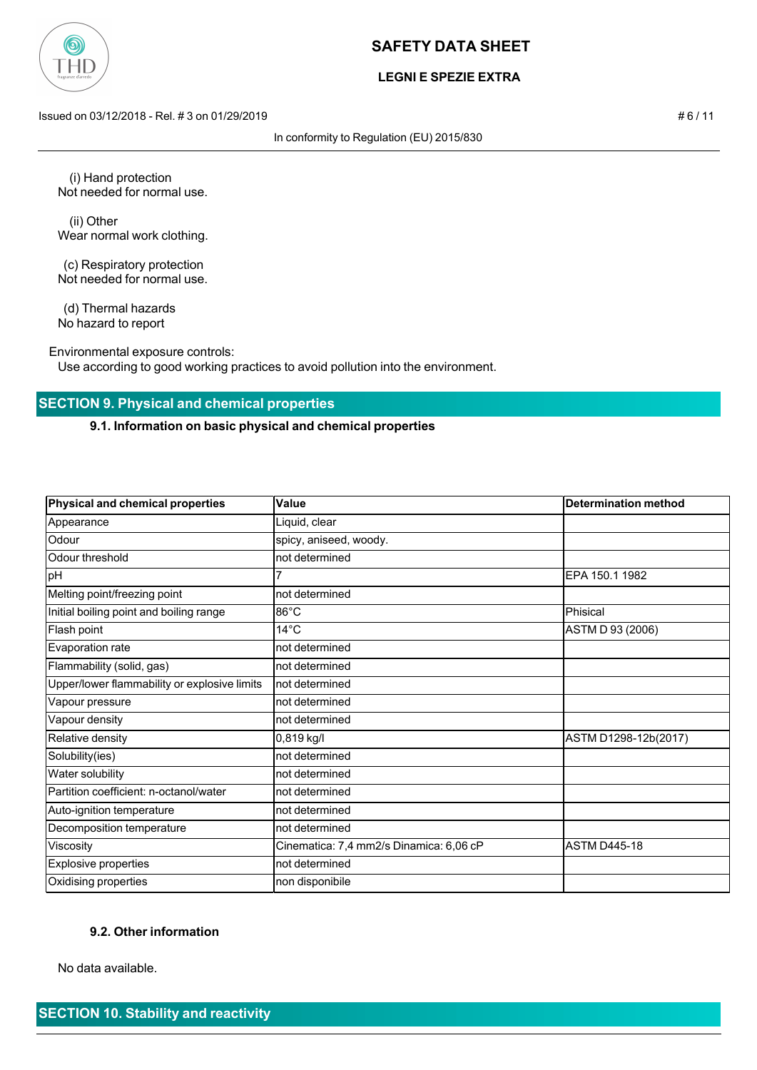

## **LEGNI E SPEZIE EXTRA**

Issued on 03/12/2018 - Rel. # 3 on 01/29/2019 # 6 / 11

In conformity to Regulation (EU) 2015/830

 (i) Hand protection Not needed for normal use.

 (ii) Other Wear normal work clothing.

 (c) Respiratory protection Not needed for normal use.

 (d) Thermal hazards No hazard to report

Environmental exposure controls:

Use according to good working practices to avoid pollution into the environment.

## **SECTION 9. Physical and chemical properties**

### **9.1. Information on basic physical and chemical properties**

| <b>Physical and chemical properties</b>      | Value                                   | <b>Determination method</b> |
|----------------------------------------------|-----------------------------------------|-----------------------------|
| Appearance                                   | Liquid, clear                           |                             |
| Odour                                        | spicy, aniseed, woody.                  |                             |
| Odour threshold                              | not determined                          |                             |
| pH                                           |                                         | EPA 150.1 1982              |
| Melting point/freezing point                 | not determined                          |                             |
| Initial boiling point and boiling range      | $86^{\circ}$ C                          | Phisical                    |
| Flash point                                  | $14^{\circ}$ C                          | ASTM D 93 (2006)            |
| Evaporation rate                             | not determined                          |                             |
| Flammability (solid, gas)                    | not determined                          |                             |
| Upper/lower flammability or explosive limits | not determined                          |                             |
| Vapour pressure                              | not determined                          |                             |
| Vapour density                               | not determined                          |                             |
| Relative density                             | 0,819 kg/l                              | ASTM D1298-12b(2017)        |
| Solubility(ies)                              | not determined                          |                             |
| Water solubility                             | not determined                          |                             |
| Partition coefficient: n-octanol/water       | not determined                          |                             |
| Auto-ignition temperature                    | not determined                          |                             |
| Decomposition temperature                    | not determined                          |                             |
| Viscosity                                    | Cinematica: 7,4 mm2/s Dinamica: 6,06 cP | <b>ASTM D445-18</b>         |
| <b>Explosive properties</b>                  | not determined                          |                             |
| Oxidising properties                         | non disponibile                         |                             |

#### **9.2. Other information**

No data available.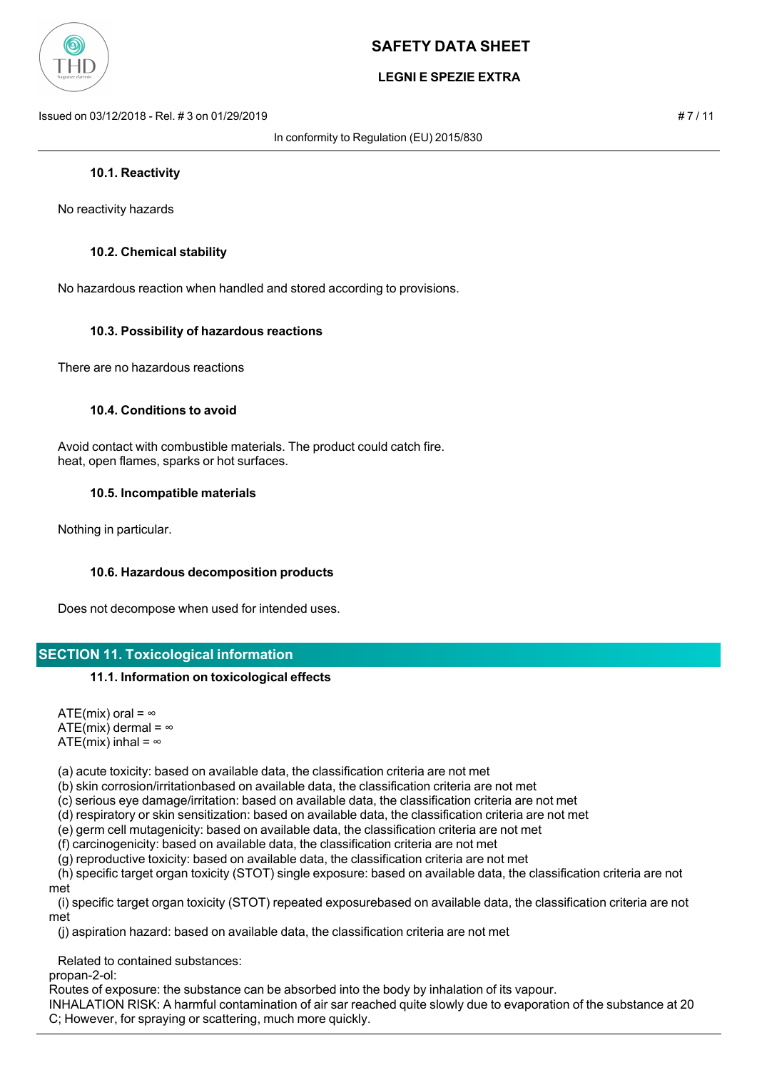

## **LEGNI E SPEZIE EXTRA**

Issued on 03/12/2018 - Rel. # 3 on 01/29/2019 # 7 / 11

In conformity to Regulation (EU) 2015/830

#### **10.1. Reactivity**

No reactivity hazards

#### **10.2. Chemical stability**

No hazardous reaction when handled and stored according to provisions.

#### **10.3. Possibility of hazardous reactions**

There are no hazardous reactions

#### **10.4. Conditions to avoid**

 Avoid contact with combustible materials. The product could catch fire. heat, open flames, sparks or hot surfaces.

#### **10.5. Incompatible materials**

Nothing in particular.

#### **10.6. Hazardous decomposition products**

Does not decompose when used for intended uses.

#### **SECTION 11. Toxicological information**

#### **11.1. Information on toxicological effects**

ATE(mix) oral =  $\infty$ ATE(mix) dermal =  $\infty$ ATE(mix) inhal =  $\infty$ 

(a) acute toxicity: based on available data, the classification criteria are not met

(b) skin corrosion/irritationbased on available data, the classification criteria are not met

(c) serious eye damage/irritation: based on available data, the classification criteria are not met

(d) respiratory or skin sensitization: based on available data, the classification criteria are not met

(e) germ cell mutagenicity: based on available data, the classification criteria are not met

(f) carcinogenicity: based on available data, the classification criteria are not met

(g) reproductive toxicity: based on available data, the classification criteria are not met

 (h) specific target organ toxicity (STOT) single exposure: based on available data, the classification criteria are not met

 (i) specific target organ toxicity (STOT) repeated exposurebased on available data, the classification criteria are not met

(j) aspiration hazard: based on available data, the classification criteria are not met

Related to contained substances:

propan-2-ol:

Routes of exposure: the substance can be absorbed into the body by inhalation of its vapour.

INHALATION RISK: A harmful contamination of air sar reached quite slowly due to evaporation of the substance at 20 C; However, for spraying or scattering, much more quickly.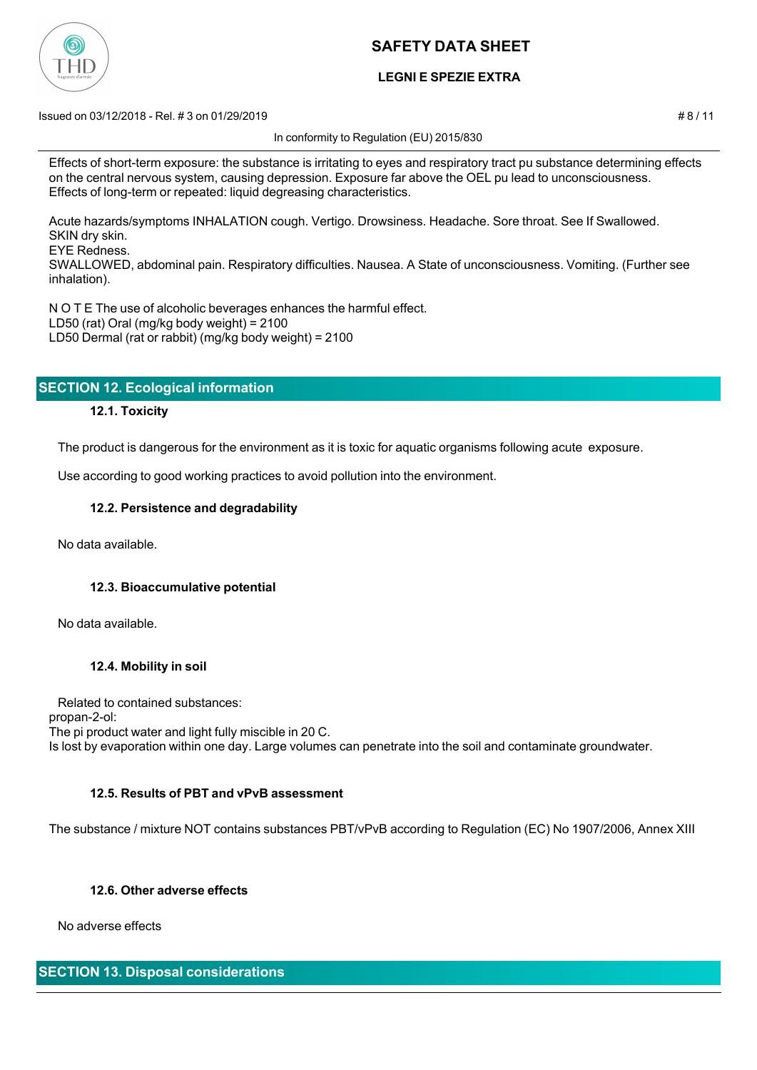

## **LEGNI E SPEZIE EXTRA**

Issued on 03/12/2018 - Rel. # 3 on 01/29/2019 # 8 / 11

In conformity to Regulation (EU) 2015/830

Acute hazards/symptoms INHALATION cough. Vertigo. Drowsiness. Headache. Sore throat. See If Swallowed. SKIN dry skin.

EYE Redness.

SWALLOWED, abdominal pain. Respiratory difficulties. Nausea. A State of unconsciousness. Vomiting. (Further see inhalation).

N O T E The use of alcoholic beverages enhances the harmful effect. LD50 (rat) Oral (mg/kg body weight) = 2100 LD50 Dermal (rat or rabbit) (mg/kg body weight) = 2100

## **SECTION 12. Ecological information**

## **12.1. Toxicity**

The product is dangerous for the environment as it is toxic for aquatic organisms following acute exposure.

Use according to good working practices to avoid pollution into the environment.

#### **12.2. Persistence and degradability**

No data available.

## **12.3. Bioaccumulative potential**

No data available.

## **12.4. Mobility in soil**

 Related to contained substances: propan-2-ol: The pi product water and light fully miscible in 20 C. Is lost by evaporation within one day. Large volumes can penetrate into the soil and contaminate groundwater.

## **12.5. Results of PBT and vPvB assessment**

The substance / mixture NOT contains substances PBT/vPvB according to Regulation (EC) No 1907/2006, Annex XIII

## **12.6. Other adverse effects**

No adverse effects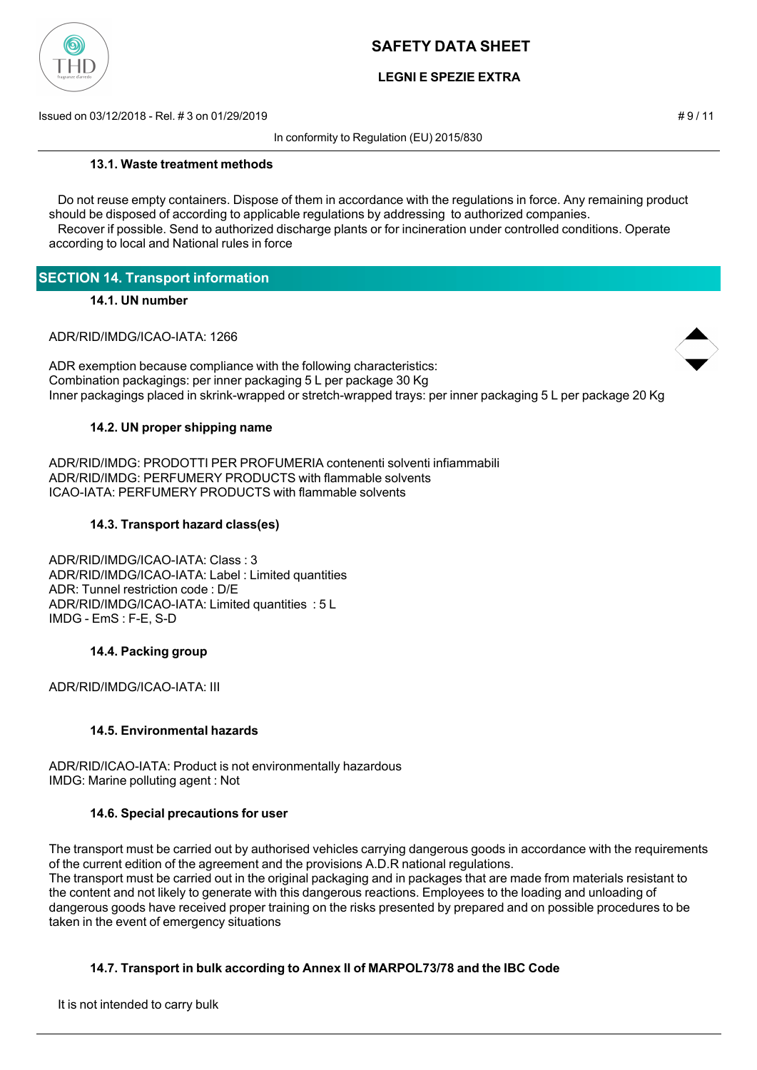

## **LEGNI E SPEZIE EXTRA**

Issued on 03/12/2018 - Rel. # 3 on 01/29/2019 # 9 / 11

In conformity to Regulation (EU) 2015/830

#### **13.1. Waste treatment methods**

 Do not reuse empty containers. Dispose of them in accordance with the regulations in force. Any remaining product should be disposed of according to applicable regulations by addressing to authorized companies. Recover if possible. Send to authorized discharge plants or for incineration under controlled conditions. Operate

according to local and National rules in force

## **SECTION 14. Transport information**

## **14.1. UN number**

ADR/RID/IMDG/ICAO-IATA: 1266



ADR exemption because compliance with the following characteristics: Combination packagings: per inner packaging 5 L per package 30 Kg Inner packagings placed in skrink-wrapped or stretch-wrapped trays: per inner packaging 5 L per package 20 Kg

## **14.2. UN proper shipping name**

ADR/RID/IMDG: PRODOTTI PER PROFUMERIA contenenti solventi infiammabili ADR/RID/IMDG: PERFUMERY PRODUCTS with flammable solvents ICAO-IATA: PERFUMERY PRODUCTS with flammable solvents

#### **14.3. Transport hazard class(es)**

ADR/RID/IMDG/ICAO-IATA: Class : 3 ADR/RID/IMDG/ICAO-IATA: Label : Limited quantities ADR: Tunnel restriction code : D/E ADR/RID/IMDG/ICAO-IATA: Limited quantities : 5 L IMDG - EmS : F-E, S-D

## **14.4. Packing group**

ADR/RID/IMDG/ICAO-IATA: III

## **14.5. Environmental hazards**

ADR/RID/ICAO-IATA: Product is not environmentally hazardous IMDG: Marine polluting agent : Not

#### **14.6. Special precautions for user**

The transport must be carried out by authorised vehicles carrying dangerous goods in accordance with the requirements of the current edition of the agreement and the provisions A.D.R national regulations. The transport must be carried out in the original packaging and in packages that are made from materials resistant to the content and not likely to generate with this dangerous reactions. Employees to the loading and unloading of dangerous goods have received proper training on the risks presented by prepared and on possible procedures to be taken in the event of emergency situations

## **14.7. Transport in bulk according to Annex II of MARPOL73/78 and the IBC Code**

It is not intended to carry bulk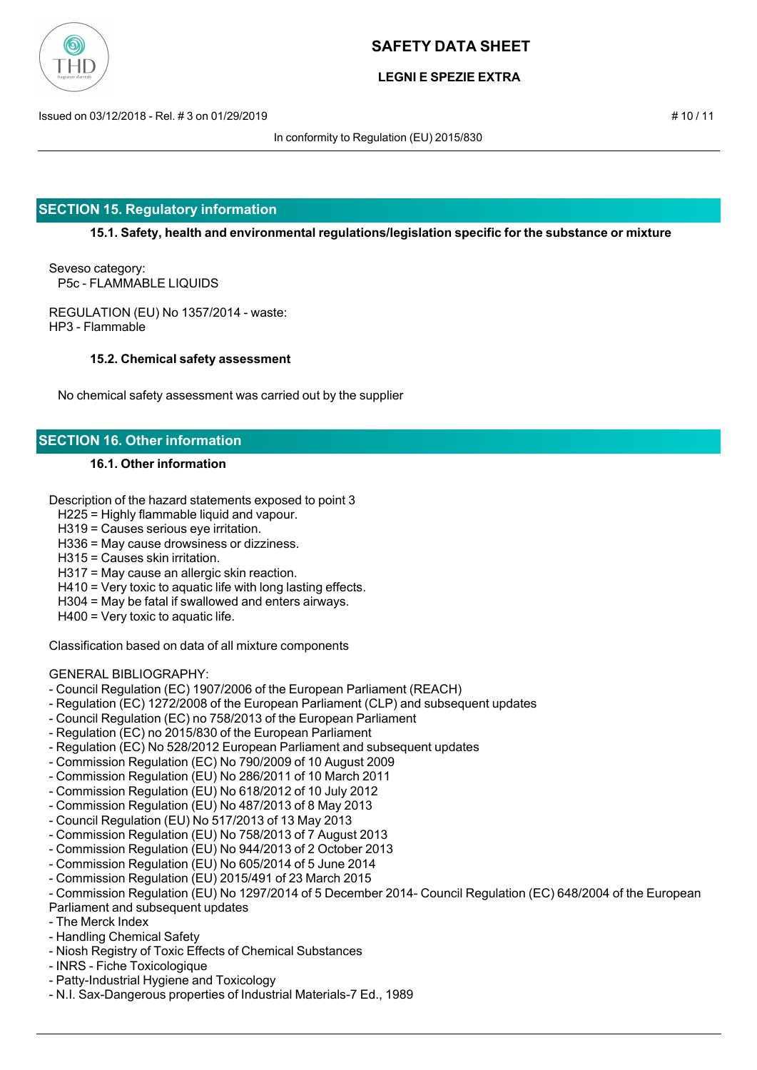

## **LEGNI E SPEZIE EXTRA**

Issued on 03/12/2018 - Rel. # 3 on 01/29/2019 # 10 / 11

In conformity to Regulation (EU) 2015/830

## **SECTION 15. Regulatory information**

**15.1. Safety, health and environmental regulations/legislation specific for the substance or mixture**

Seveso category: P5c - FLAMMABLE LIQUIDS

REGULATION (EU) No 1357/2014 - waste: HP3 - Flammable

#### **15.2. Chemical safety assessment**

No chemical safety assessment was carried out by the supplier

## **SECTION 16. Other information**

## **16.1. Other information**

Description of the hazard statements exposed to point 3

H225 = Highly flammable liquid and vapour.

H319 = Causes serious eye irritation.

H336 = May cause drowsiness or dizziness.

- H315 = Causes skin irritation.
- H317 = May cause an allergic skin reaction.
- H410 = Very toxic to aquatic life with long lasting effects.
- H304 = May be fatal if swallowed and enters airways.
- H400 = Very toxic to aquatic life.

Classification based on data of all mixture components

#### GENERAL BIBLIOGRAPHY:

- Council Regulation (EC) 1907/2006 of the European Parliament (REACH)
- Regulation (EC) 1272/2008 of the European Parliament (CLP) and subsequent updates
- Council Regulation (EC) no 758/2013 of the European Parliament
- Regulation (EC) no 2015/830 of the European Parliament
- Regulation (EC) No 528/2012 European Parliament and subsequent updates
- Commission Regulation (EC) No 790/2009 of 10 August 2009
- Commission Regulation (EU) No 286/2011 of 10 March 2011
- Commission Regulation (EU) No 618/2012 of 10 July 2012
- Commission Regulation (EU) No 487/2013 of 8 May 2013
- Council Regulation (EU) No 517/2013 of 13 May 2013
- Commission Regulation (EU) No 758/2013 of 7 August 2013
- Commission Regulation (EU) No 944/2013 of 2 October 2013
- Commission Regulation (EU) No 605/2014 of 5 June 2014
- Commission Regulation (EU) 2015/491 of 23 March 2015
- Commission Regulation (EU) No 1297/2014 of 5 December 2014- Council Regulation (EC) 648/2004 of the European
- Parliament and subsequent updates
- The Merck Index
- Handling Chemical Safety
- Niosh Registry of Toxic Effects of Chemical Substances
- INRS Fiche Toxicologique
- Patty-Industrial Hygiene and Toxicology
- N.I. Sax-Dangerous properties of Industrial Materials-7 Ed., 1989